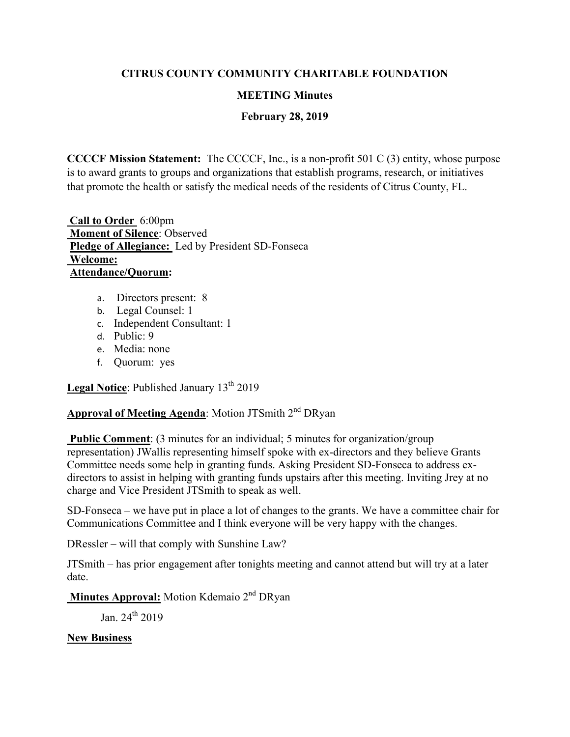#### **CITRUS COUNTY COMMUNITY CHARITABLE FOUNDATION**

#### **MEETING Minutes**

#### **February 28, 2019**

**CCCCF Mission Statement:** The CCCCF, Inc., is a non-profit 501 C (3) entity, whose purpose is to award grants to groups and organizations that establish programs, research, or initiatives that promote the health or satisfy the medical needs of the residents of Citrus County, FL.

 **Call to Order** 6:00pm  **Moment of Silence**: Observed **Pledge of Allegiance:** Led by President SD-Fonseca  **Welcome: Attendance/Quorum:** 

- a. Directors present: 8
- b. Legal Counsel: 1
- c. Independent Consultant: 1
- d. Public: 9
- e. Media: none
- f. Quorum: yes

Legal Notice: Published January 13<sup>th</sup> 2019

# **Approval of Meeting Agenda**: Motion JTSmith 2nd DRyan

**Public Comment:** (3 minutes for an individual; 5 minutes for organization/group representation) JWallis representing himself spoke with ex-directors and they believe Grants Committee needs some help in granting funds. Asking President SD-Fonseca to address exdirectors to assist in helping with granting funds upstairs after this meeting. Inviting Jrey at no charge and Vice President JTSmith to speak as well.

SD-Fonseca – we have put in place a lot of changes to the grants. We have a committee chair for Communications Committee and I think everyone will be very happy with the changes.

DRessler – will that comply with Sunshine Law?

JTSmith – has prior engagement after tonights meeting and cannot attend but will try at a later date.

**Minutes Approval:** Motion Kdemaio 2<sup>nd</sup> DRvan

Jan.  $24^{th}$  2019

#### **New Business**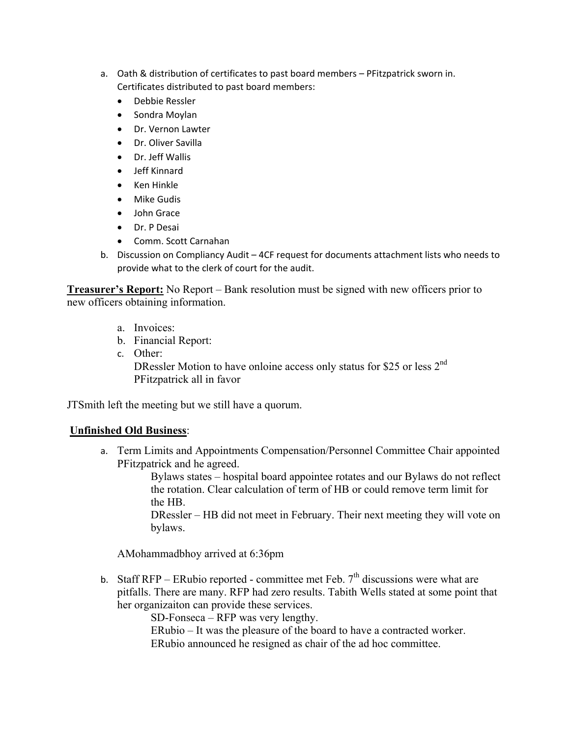- a. Oath & distribution of certificates to past board members PFitzpatrick sworn in. Certificates distributed to past board members:
	- Debbie Ressler
	- Sondra Moylan
	- Dr. Vernon Lawter
	- Dr. Oliver Savilla
	- Dr. Jeff Wallis
	- Jeff Kinnard
	- Ken Hinkle
	- Mike Gudis
	- John Grace
	- Dr. P Desai
	- Comm. Scott Carnahan
- b. Discussion on Compliancy Audit 4CF request for documents attachment lists who needs to provide what to the clerk of court for the audit.

**Treasurer's Report:** No Report – Bank resolution must be signed with new officers prior to new officers obtaining information.

- a. Invoices:
- b. Financial Report:
- c. Other:

DRessler Motion to have onloine access only status for \$25 or less 2<sup>nd</sup> PFitzpatrick all in favor

JTSmith left the meeting but we still have a quorum.

#### **Unfinished Old Business**:

a. Term Limits and Appointments Compensation/Personnel Committee Chair appointed PFitzpatrick and he agreed.

> Bylaws states – hospital board appointee rotates and our Bylaws do not reflect the rotation. Clear calculation of term of HB or could remove term limit for the HB.

> DRessler – HB did not meet in February. Their next meeting they will vote on bylaws.

AMohammadbhoy arrived at 6:36pm

b. Staff RFP – ERubio reported - committee met Feb.  $7<sup>th</sup>$  discussions were what are pitfalls. There are many. RFP had zero results. Tabith Wells stated at some point that her organizaiton can provide these services.

SD-Fonseca – RFP was very lengthy.

ERubio – It was the pleasure of the board to have a contracted worker. ERubio announced he resigned as chair of the ad hoc committee.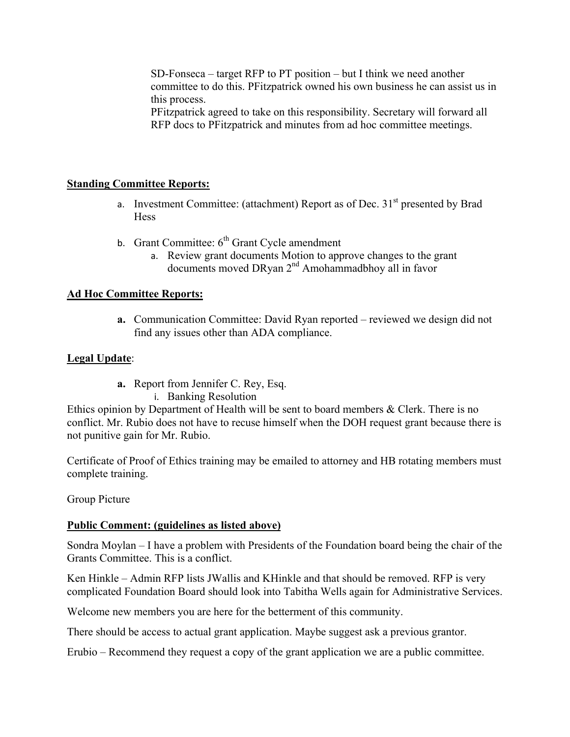SD-Fonseca – target RFP to PT position – but I think we need another committee to do this. PFitzpatrick owned his own business he can assist us in this process.

PFitzpatrick agreed to take on this responsibility. Secretary will forward all RFP docs to PFitzpatrick and minutes from ad hoc committee meetings.

#### **Standing Committee Reports:**

- a. Investment Committee: (attachment) Report as of Dec.  $31<sup>st</sup>$  presented by Brad Hess
- b. Grant Committee:  $6<sup>th</sup>$  Grant Cycle amendment
	- a. Review grant documents Motion to approve changes to the grant documents moved DRyan 2<sup>nd</sup> Amohammadbhoy all in favor

# **Ad Hoc Committee Reports:**

**a.** Communication Committee: David Ryan reported – reviewed we design did not find any issues other than ADA compliance.

# **Legal Update**:

- **a.** Report from Jennifer C. Rey, Esq.
	- i. Banking Resolution

Ethics opinion by Department of Health will be sent to board members & Clerk. There is no conflict. Mr. Rubio does not have to recuse himself when the DOH request grant because there is not punitive gain for Mr. Rubio.

Certificate of Proof of Ethics training may be emailed to attorney and HB rotating members must complete training.

Group Picture

#### **Public Comment: (guidelines as listed above)**

Sondra Moylan – I have a problem with Presidents of the Foundation board being the chair of the Grants Committee. This is a conflict.

Ken Hinkle – Admin RFP lists JWallis and KHinkle and that should be removed. RFP is very complicated Foundation Board should look into Tabitha Wells again for Administrative Services.

Welcome new members you are here for the betterment of this community.

There should be access to actual grant application. Maybe suggest ask a previous grantor.

Erubio – Recommend they request a copy of the grant application we are a public committee.